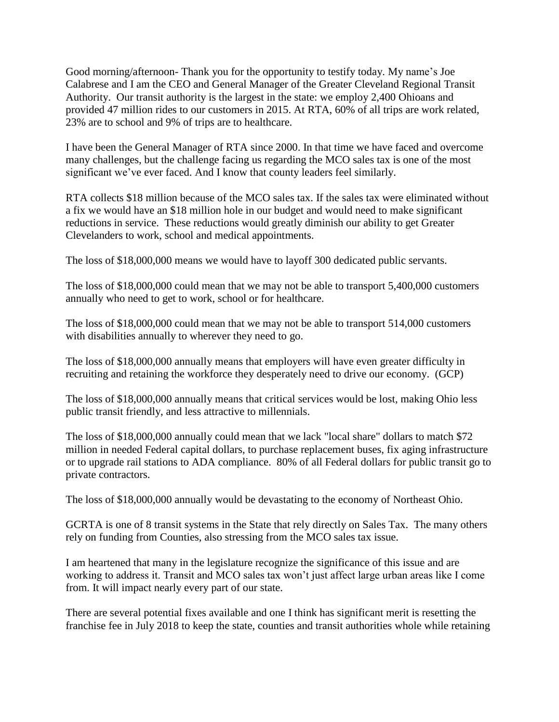Good morning/afternoon- Thank you for the opportunity to testify today. My name's Joe Calabrese and I am the CEO and General Manager of the Greater Cleveland Regional Transit Authority. Our transit authority is the largest in the state: we employ 2,400 Ohioans and provided 47 million rides to our customers in 2015. At RTA, 60% of all trips are work related, 23% are to school and 9% of trips are to healthcare.

I have been the General Manager of RTA since 2000. In that time we have faced and overcome many challenges, but the challenge facing us regarding the MCO sales tax is one of the most significant we've ever faced. And I know that county leaders feel similarly.

RTA collects \$18 million because of the MCO sales tax. If the sales tax were eliminated without a fix we would have an \$18 million hole in our budget and would need to make significant reductions in service. These reductions would greatly diminish our ability to get Greater Clevelanders to work, school and medical appointments.

The loss of \$18,000,000 means we would have to layoff 300 dedicated public servants.

The loss of \$18,000,000 could mean that we may not be able to transport 5,400,000 customers annually who need to get to work, school or for healthcare.

The loss of \$18,000,000 could mean that we may not be able to transport 514,000 customers with disabilities annually to wherever they need to go.

The loss of \$18,000,000 annually means that employers will have even greater difficulty in recruiting and retaining the workforce they desperately need to drive our economy. (GCP)

The loss of \$18,000,000 annually means that critical services would be lost, making Ohio less public transit friendly, and less attractive to millennials.

The loss of \$18,000,000 annually could mean that we lack "local share" dollars to match \$72 million in needed Federal capital dollars, to purchase replacement buses, fix aging infrastructure or to upgrade rail stations to ADA compliance. 80% of all Federal dollars for public transit go to private contractors.

The loss of \$18,000,000 annually would be devastating to the economy of Northeast Ohio.

GCRTA is one of 8 transit systems in the State that rely directly on Sales Tax. The many others rely on funding from Counties, also stressing from the MCO sales tax issue.

I am heartened that many in the legislature recognize the significance of this issue and are working to address it. Transit and MCO sales tax won't just affect large urban areas like I come from. It will impact nearly every part of our state.

There are several potential fixes available and one I think has significant merit is resetting the franchise fee in July 2018 to keep the state, counties and transit authorities whole while retaining